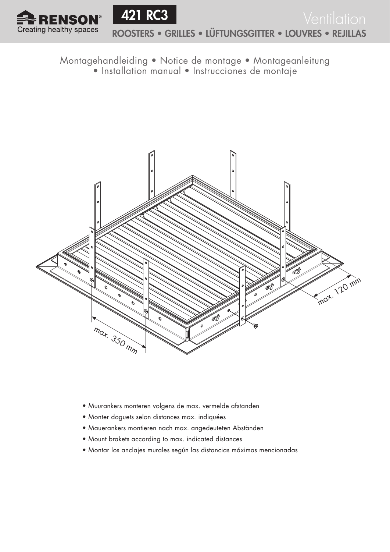



Montagehandleiding • Notice de montage • Montageanleitung

• Installation manual • Instrucciones de montaje



- Muurankers monteren volgens de max. vermelde afstanden
- Monter doguets selon distances max. indiquées
- Mauerankers montieren nach max. angedeuteten Abständen
- Mount brakets according to max. indicated distances
- Montar los anclajes murales según las distancias máximas mencionadas